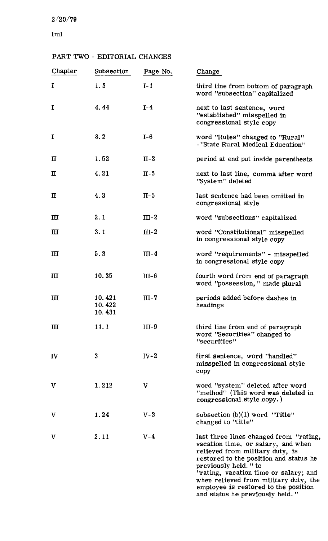### $2/20/79$

lml

| Chapter      | Subsection                 | Page No.     | Change                                                                                                                                                                                                                                                                                                                                          |
|--------------|----------------------------|--------------|-------------------------------------------------------------------------------------------------------------------------------------------------------------------------------------------------------------------------------------------------------------------------------------------------------------------------------------------------|
| I            | 1.3                        | $I-1$        | third line from bottom of paragraph<br>word "subsection" capitalized                                                                                                                                                                                                                                                                            |
| I            | 4.44                       | $I-4$        | next to last sentence, word<br>"established" misspelled in<br>congressional style copy                                                                                                                                                                                                                                                          |
| I            | 8.2                        | $I-6$        | word ''Rules'' changed to ''Rural''<br>-''State Rural Medical Education"                                                                                                                                                                                                                                                                        |
| $\mathbf{I}$ | 1.52                       | $II-2$       | period at end put inside parenthesis                                                                                                                                                                                                                                                                                                            |
| $\mathbf\Pi$ | 4.21                       | $\Pi$ -5     | next to last line, comma after word<br>"System" deleted                                                                                                                                                                                                                                                                                         |
| $\mathbf I$  | 4.3                        | $II-5$       | last sentence had been omitted in<br>congressional style                                                                                                                                                                                                                                                                                        |
| Ш            | 2.1                        | $III-2$      | word "subsections" capitalized                                                                                                                                                                                                                                                                                                                  |
| $\mathbf{m}$ | 3.1                        | $III-2$      | word "Constitutional" misspelled<br>in congressional style copy                                                                                                                                                                                                                                                                                 |
| Ш            | 5.3                        | $III-4$      | word "requirements" - misspelled<br>in congressional style copy                                                                                                                                                                                                                                                                                 |
| Ш            | 10.35                      | $III-6$      | fourth word from end of paragraph<br>word "possession," made plural                                                                                                                                                                                                                                                                             |
| $\mathbf{I}$ | 10.421<br>10.422<br>10.431 | $III - 7$    | periods added before dashes in<br>headings                                                                                                                                                                                                                                                                                                      |
| $\mathbf{I}$ | 11.1                       | $III-9$      | third line from end of paragraph<br>word "Securities" changed to<br>"securities"                                                                                                                                                                                                                                                                |
| IV           | $\bf{3}$                   | $IV-2$       | first sentence, word "handled"<br>misspelled in congressional style<br>copy                                                                                                                                                                                                                                                                     |
| $\mathbf v$  | 1.212                      | $\mathbf{V}$ | word "system" deleted after word<br>"method" (This word was deleted in<br>congressional style copy.)                                                                                                                                                                                                                                            |
| V            | 1.24                       | $V-3$        | subsection $(b)(1)$ word "Title"<br>changed to "title"                                                                                                                                                                                                                                                                                          |
| V            | 2.11                       | $V - 4$      | last three lines changed from "rating,<br>vacation time, or salary, and when<br>relieved from military duty, is<br>restored to the position and status he<br>previously held. " to<br>"rating, vacation time or salary; and<br>when relieved from military duty, the<br>employee is restored to the position<br>and status he previously held." |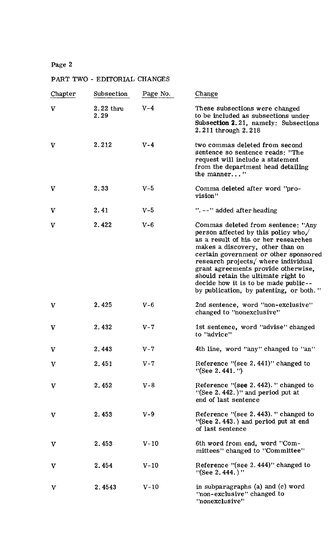| Chapter      | Subsection          | Page No. | Change                                                                                                                                                                                                                                                                                                                                                                                                 |
|--------------|---------------------|----------|--------------------------------------------------------------------------------------------------------------------------------------------------------------------------------------------------------------------------------------------------------------------------------------------------------------------------------------------------------------------------------------------------------|
| $\mathbf v$  | $2.22$ thru<br>2.29 | $V - 4$  | These subsections were changed<br>to be included as subsections under<br>Subsection 2.21, namely: Subsections<br>2.211 through 2.218                                                                                                                                                                                                                                                                   |
| $\mathbf v$  | 2.212               | $V - 4$  | two commas deleted from second<br>sentence so sentence reads: "The<br>request will include a statement<br>from the department head detailing<br>the manner"                                                                                                                                                                                                                                            |
| $\mathbf v$  | 2.33                | $V-5$    | Comma deleted after word "pro-<br>vision"                                                                                                                                                                                                                                                                                                                                                              |
| V            | 2.41                | $V-5$    | $"$ . --" added after heading                                                                                                                                                                                                                                                                                                                                                                          |
| $\mathbf v$  | 2.422               | $V - 6$  | Commas deleted from sentence: "Any<br>person affected by this policy who.<br>as a result of his or her researches<br>makes a discovery, other than on<br>certain government or other sponsored<br>research projects, where individual<br>grant agreements provide otherwise,<br>should retain the ultimate right to<br>decide how it is to be made public--<br>by publication, by patenting, or both." |
| $\mathbf v$  | 2.425               | $V - 6$  | 2nd sentence, word "non-exclusive"<br>changed to "nonexclusive"                                                                                                                                                                                                                                                                                                                                        |
| V            | 2.432               | $V - 7$  | 1st sentence, word "advise" changed<br>to "advice"                                                                                                                                                                                                                                                                                                                                                     |
| $\mathbf{V}$ | 2.443               | $V - 7$  | 4th line, word "any" changed to "an"                                                                                                                                                                                                                                                                                                                                                                   |
| $\mathbf V$  | 2.451               | $V - 7$  | Reference "(see 2.441)" changed to<br>$"$ (See 2.441.")                                                                                                                                                                                                                                                                                                                                                |
| V            | 2.452               | $V - 8$  | Reference $\frac{1}{2}$ (see 2.442). " changed to<br>"(See $2.442$ .)" and period put at<br>end of last sentence                                                                                                                                                                                                                                                                                       |
| V            | 2.453               | $V-9$    | Reference "(see 2.443). " changed to<br>$"$ (See 2.443.) and period put at end<br>of last sentence                                                                                                                                                                                                                                                                                                     |
| $\mathbf v$  | 2.453               | $V-10$   | 6th word from end, word "Com-<br>mittees" changed to "Committee"                                                                                                                                                                                                                                                                                                                                       |
| $\mathbf{V}$ | 2.454               | $V-10$   | Reference "(see $2.444$ )" changed to<br>$"$ (See 2.444.)"                                                                                                                                                                                                                                                                                                                                             |
| $\mathbf v$  | 2.4543              | $V-10$   | in subparagraphs $(a)$ and $(c)$ word<br>"non-exclusive" changed to<br>"nonexclusive"                                                                                                                                                                                                                                                                                                                  |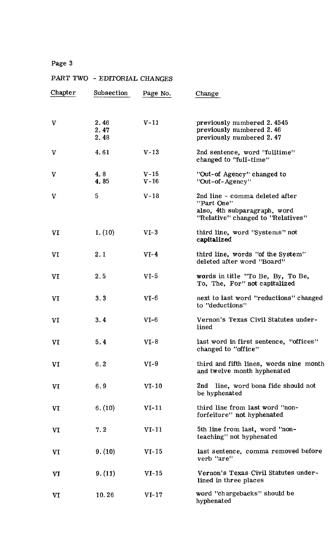| Chapter | Subsection           | Page No.         | Change                                                                                                            |
|---------|----------------------|------------------|-------------------------------------------------------------------------------------------------------------------|
| V       | 2.46<br>2.47<br>2.48 | $V-11$           | previously numbered 2.4545<br>previously numbered 2.46<br>previously numbered 2.47                                |
| V       | 4.61                 | $V - 13$         | 2nd sentence, word "fulltime"<br>changed to 'full-time"                                                           |
| V       | 4.8<br>4.85          | $V-15$<br>$V-16$ | "Out-of Agency" changed to<br>"Out-of-Agency"                                                                     |
| V       | 5                    | $V-18$           | 2nd line - comma deleted after<br>"Part One"<br>also, 4th subparagraph, word<br>"Relative" changed to "Relatives" |
| VI      | 1. (10)              | $VI-3$           | third line, word "Systems" not<br>capitalized                                                                     |
| VI      | 2.1                  | $VI-4$           | third line, words "of the System"<br>deleted after word "Board"                                                   |
| VI      | 2.5                  | $VI-5$           | words in title "To Be, By, To Be,<br>To, The, For" not capitalized                                                |
| VI      | 3.3                  | $VI-6$           | next to last word "reductions" changed<br>to "deductions"                                                         |
| VI      | 3.4                  | $VI-6$           | Vernon's Texas Civil Statutes under-<br>lined                                                                     |
| VI      | 5.4                  | $VI-8$           | last word in first sentence, "offices"<br>changed to "office"                                                     |
| VI      | 6.2                  | $VI-9$           | third and fifth lines, words nine month<br>and twelve month hyphenated                                            |
| VI      | 6.9                  | $VI-10$          | 2nd line, word bona fide should not<br>be hyphenated                                                              |
| VI      | 6. (10)              | $VI-11$          | third line from last word "non-<br>forfeiture" not hyphenated                                                     |
| VI      | 7.2                  | $VI-11$          | 5th line from last, word "non-<br>teaching" not hyphenated                                                        |
| VI      | 9. (10)              | $VI-15$          | last sentence, comma removed before<br>verb "are"                                                                 |
| VI      | 9. (11)              | $VI-15$          | Vernon's Texas Civil Statutes under-<br>lined in three places                                                     |
| VI      | 10.26                | $VI-17$          | word "chargebacks" should be<br>hyphenated                                                                        |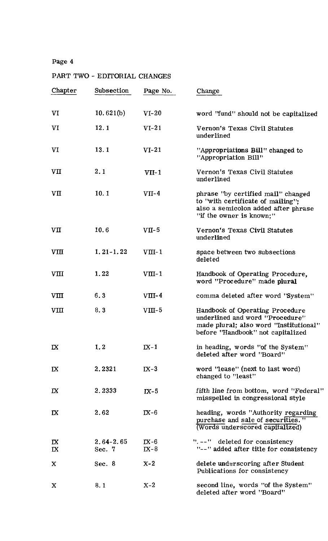| Chapter                 | Subsection                | Page No.         | Change                                                                                                                                            |
|-------------------------|---------------------------|------------------|---------------------------------------------------------------------------------------------------------------------------------------------------|
| VI                      | 10.621(b)                 | $VI-20$          | word "fund" should not be capitalized                                                                                                             |
| VI                      | 12.1                      | $VI-21$          | Vernon's Texas Civil Statutes<br>underlined                                                                                                       |
| VI                      | 13.1                      | $VI-21$          | "Appropriations Bill" changed to<br>"Appropriation Bill"                                                                                          |
| VII                     | 2.1                       | $VII-1$          | Vernon's Texas Civil Statutes<br>underlined                                                                                                       |
| $V\Pi$                  | 10.1                      | $VII-4$          | phrase 'by certified mail'' changed<br>to "with certificate of mailing";<br>also a semicolon added after phrase<br>"if the owner is known:"       |
| VII                     | 10.6                      | $VTI-5$          | Vernon's Texas Civil Statutes<br>underlined                                                                                                       |
| <b>VIII</b>             | $1, 21 - 1, 22$           | $VIII-1$         | space between two subsections<br>deleted                                                                                                          |
| VIII                    | 1.22                      | $VIII-1$         | Handbook of Operating Procedure,<br>word "Procedure" made plural                                                                                  |
| VIII                    | 6.3                       | $VIII-4$         | comma deleted after word "System"                                                                                                                 |
| VIII                    | 8.3                       | $VIII-5$         | Handbook of Operating Procedure<br>underlined and word "Procedure"<br>made plural; also word "Institutional"<br>before "Handbook" not capitalized |
| IX                      | 1.2                       | $IX-1$           | in heading, words "of the System"<br>deleted after word "Board"                                                                                   |
| $\overline{a}$          | 2.2321                    | $IX-3$           | word "lease" (next to last word)<br>changed to "least"                                                                                            |
| $\mathbf{I} \mathbf{X}$ | 2.2333                    | $IX-5$           | fifth line from bottom, word "Federal"<br>misspelled in congressional style                                                                       |
| IX                      | 2.62                      | $IX-6$           | heading, words "Authority regarding<br>purchase and sale of securities."<br>(Words underscored capitalized)                                       |
| $\mathbf{R}$<br>IX      | $2.64 - 2.65$<br>Sec. $7$ | $IX-6$<br>$IX-8$ | $"$ . $--"$ deleted for consistency<br>"--" added after title for consistency                                                                     |
| X                       | Sec. $8$                  | $X-2$            | delete underscoring after Student<br>Publications for consistency                                                                                 |
| X                       | 8.1                       | $X-2$            | second line, words "of the System"<br>deleted after word "Board"                                                                                  |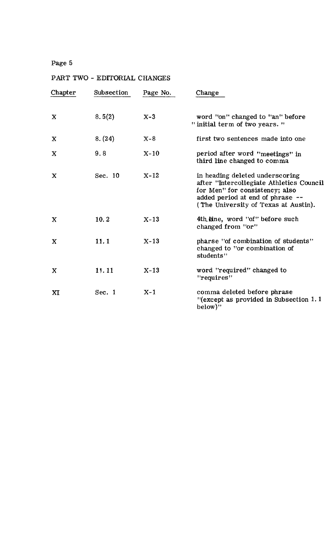| Chapter     | Subsection | Page No. | Change                                                                                                                                                                                    |
|-------------|------------|----------|-------------------------------------------------------------------------------------------------------------------------------------------------------------------------------------------|
| X           | 8.5(2)     | $X-3$    | word "on" changed to "an" before<br>" initial term of two years. "                                                                                                                        |
| X           | 8. (24)    | $X-8$    | first two sentences made into one                                                                                                                                                         |
| $\mathbf X$ | 9.8        | $X-10$   | period after word "meetings" in<br>third line changed to comma                                                                                                                            |
| X           | Sec. 10    | $X-12$   | in heading deleted underscoring<br>after "Intercollegiate Athletics Council<br>for Men" for consistency; also<br>added period at end of phrase --<br>(The University of Texas at Austin). |
| $\mathbf x$ | 10.2       | $X-13$   | 4th line, word "of" before such<br>changed from "or"                                                                                                                                      |
| $\mathbf x$ | 11.1       | $X - 13$ | pharse "of combination of students"<br>changed to "or combination of<br>students"                                                                                                         |
| X           | 11.11      | $X-13$   | word "required" changed to<br>"requires"                                                                                                                                                  |
| XI          | Sec. 1     | $X-1$    | comma deleted before phrase<br>$"$ (except as provided in Subsection 1.1)<br>below)"                                                                                                      |